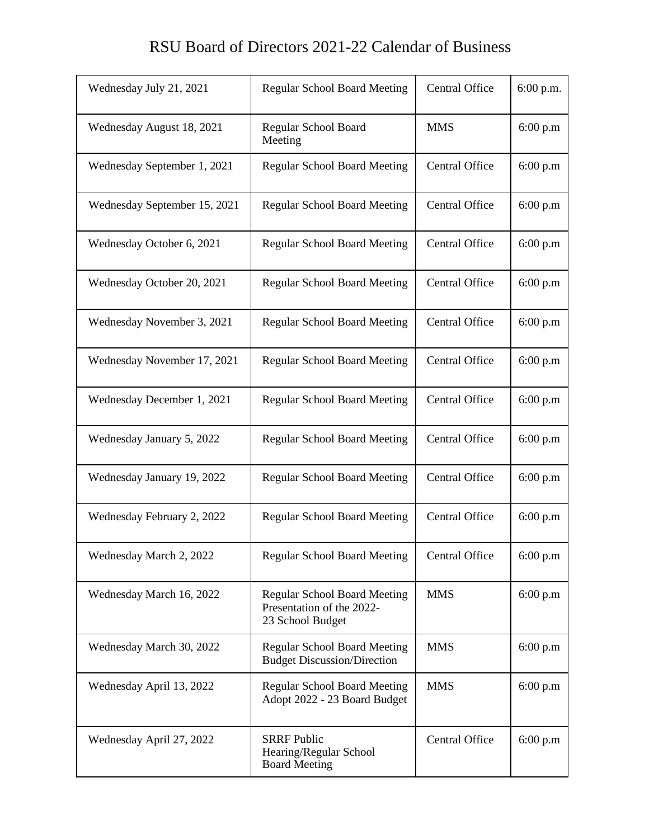## RSU Board of Directors 2021-22 Calendar of Business

| Wednesday July 21, 2021      | <b>Regular School Board Meeting</b>                                                  | Central Office        | 6:00 p.m. |
|------------------------------|--------------------------------------------------------------------------------------|-----------------------|-----------|
| Wednesday August 18, 2021    | Regular School Board<br>Meeting                                                      | <b>MMS</b>            | 6:00 p.m  |
| Wednesday September 1, 2021  | <b>Regular School Board Meeting</b>                                                  | Central Office        | 6:00 p.m  |
| Wednesday September 15, 2021 | Regular School Board Meeting                                                         | Central Office        | 6:00 p.m  |
| Wednesday October 6, 2021    | <b>Regular School Board Meeting</b>                                                  | Central Office        | 6:00 p.m  |
| Wednesday October 20, 2021   | <b>Regular School Board Meeting</b>                                                  | Central Office        | 6:00 p.m  |
| Wednesday November 3, 2021   | <b>Regular School Board Meeting</b>                                                  | Central Office        | 6:00 p.m  |
| Wednesday November 17, 2021  | <b>Regular School Board Meeting</b>                                                  | <b>Central Office</b> | 6:00 p.m  |
| Wednesday December 1, 2021   | <b>Regular School Board Meeting</b>                                                  | Central Office        | 6:00 p.m  |
| Wednesday January 5, 2022    | <b>Regular School Board Meeting</b>                                                  | Central Office        | 6:00 p.m  |
| Wednesday January 19, 2022   | <b>Regular School Board Meeting</b>                                                  | Central Office        | 6:00 p.m  |
| Wednesday February 2, 2022   | <b>Regular School Board Meeting</b>                                                  | Central Office        | 6:00 p.m  |
| Wednesday March 2, 2022      | <b>Regular School Board Meeting</b>                                                  | Central Office        | 6:00 p.m  |
| Wednesday March 16, 2022     | <b>Regular School Board Meeting</b><br>Presentation of the 2022-<br>23 School Budget | <b>MMS</b>            | 6:00 p.m  |
| Wednesday March 30, 2022     | <b>Regular School Board Meeting</b><br><b>Budget Discussion/Direction</b>            | <b>MMS</b>            | 6:00 p.m  |
| Wednesday April 13, 2022     | <b>Regular School Board Meeting</b><br>Adopt 2022 - 23 Board Budget                  | <b>MMS</b>            | 6:00 p.m  |
| Wednesday April 27, 2022     | <b>SRRF</b> Public<br>Hearing/Regular School<br><b>Board Meeting</b>                 | Central Office        | 6:00 p.m  |